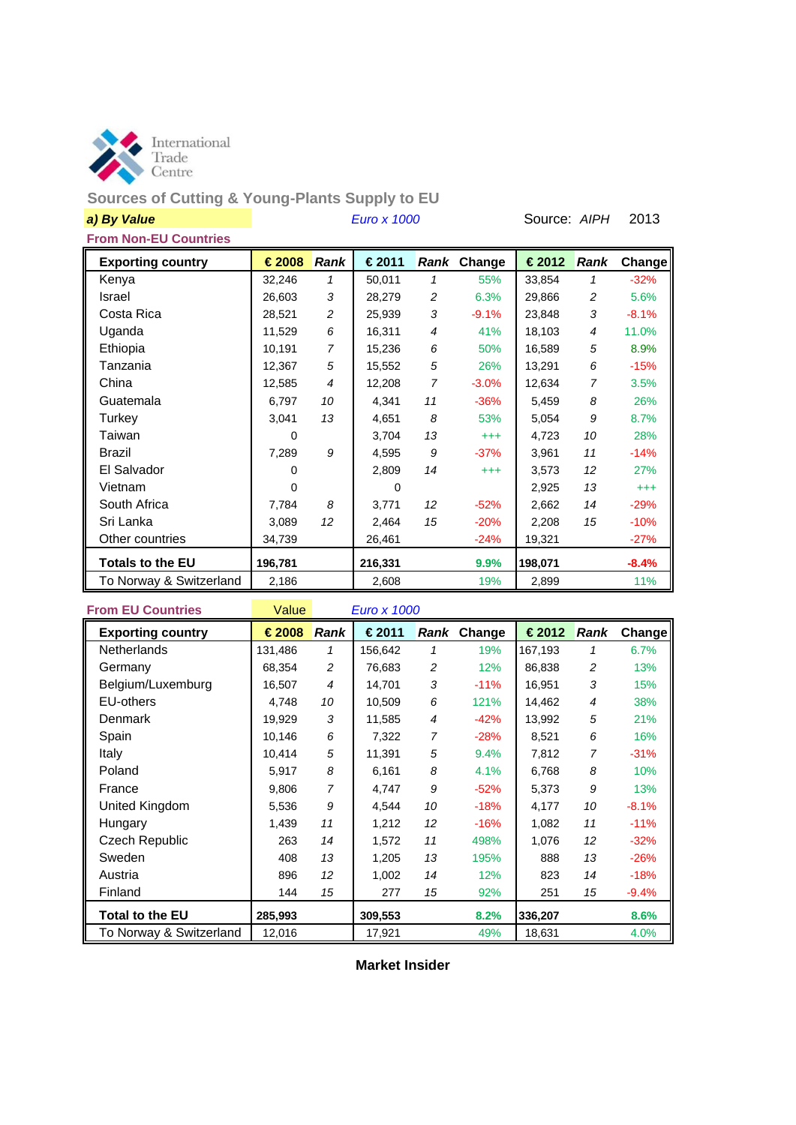

# **Sources of Cutting & Young-Plants Supply to EU**

| a) By Value                  |  | Source: AIPH | 2013                                                    |  |  |
|------------------------------|--|--------------|---------------------------------------------------------|--|--|
| <b>From Non-EU Countries</b> |  |              |                                                         |  |  |
| <b>Exporting country</b>     |  |              | $\in$ 2008 Rank   €2011 Rank Change   €2012 Rank Change |  |  |
|                              |  |              |                                                         |  |  |

**Exporting country € 2008** *Rank* **€ 2011** *Rank* **Change € 2012** *Rank* **Change** Kenya 32,246 *1* 50,011 *1* 55% 33,854 *1* -32% Israel 26,603 *3* 28,279 *2* 6.3% 29,866 *2* 5.6% Costa Rica 28,521 *2* 25,939 *3* -9.1% 23,848 *3* -8.1% Uganda 11,529 *6* 16,311 *4* 41% 18,103 *4* 11.0% Ethiopia 10,191 *7* 15,236 *6* 50% 16,589 *5* 8.9% Tanzania 12,367 *5* 15,552 *5* 26% 13,291 *6* -15% China 12,585 *4* 12,208 *7* -3.0% 12,634 *7* 3.5% Guatemala 6,797 *10* 4,341 *11* -36% 5,459 *8* 26% Turkey 3,041 *13* 4,651 *8* 53% 5,054 *9* 8.7% Taiwan 0 3,704 *13* +++ 4,723 *10* 28% Brazil 7,289 *9* 4,595 *9* -37% 3,961 *11* -14% El Salvador 0 2,809 *14* +++ 3,573 *12* 27% Vietnam 0 0 2,925 *13* +++ South Africa 7,784 *8* 3,771 *12* -52% 2,662 *14* -29% Sri Lanka 3,089 *12* 2,464 *15* -20% 2,208 *15* -10% Other countries 134,739 26,461 -24% 19,321 -27% **Totals to the EU 196,781 216,331 9.9% 198,071 -8.4%** To Norway & Switzerland 2,186 2,608 19% 2,899 11%

**From EU Countries** Value *Euro x 1000* **Exporting country € 2008** *Rank* **€ 2011** *Rank* **Change € 2012** *Rank* **Change** Netherlands 131,486 *1* 156,642 *1* 19% 167,193 *1* 6.7% Germany 68,354 *2* 76,683 *2* 12% 86,838 *2* 13% Belgium/Luxemburg 16,507 *4* 14,701 *3* -11% 16,951 *3* 15% EU-others 4,748 *10* 10,509 *6* 121% 14,462 *4* 38% Denmark 19,929 *3* 11,585 *4* -42% 13,992 *5* 21% Spain 10,146 *6* 7,322 *7* -28% 8,521 *6* 16% Italy 10,414 *5* 11,391 *5* 9.4% 7,812 *7* -31% Poland 5,917 *8* 6,161 *8* 4.1% 6,768 *8* 10% France 9,806 *7* 4,747 *9* -52% 5,373 *9* 13% United Kingdom 5,536 *9* 4,544 *10* -18% 4,177 *10* -8.1% Hungary 1,439 *11* 1,212 *12* -16% 1,082 *11* -11% Czech Republic 263 *14* 1,572 *11* 498% 1,076 *12* -32% Sweden 408 *13* 1,205 *13* 195% 888 *13* -26% Austria 896 *12* 1,002 *14* 12% 823 *14* -18% Finland 144 *15* 277 *15* 92% 251 *15* -9.4% **Total to the EU 285,993 309,553 8.2% 336,207 8.6%** To Norway & Switzerland 12,016 17,921 49% 18,631 4.0%

**Market Insider**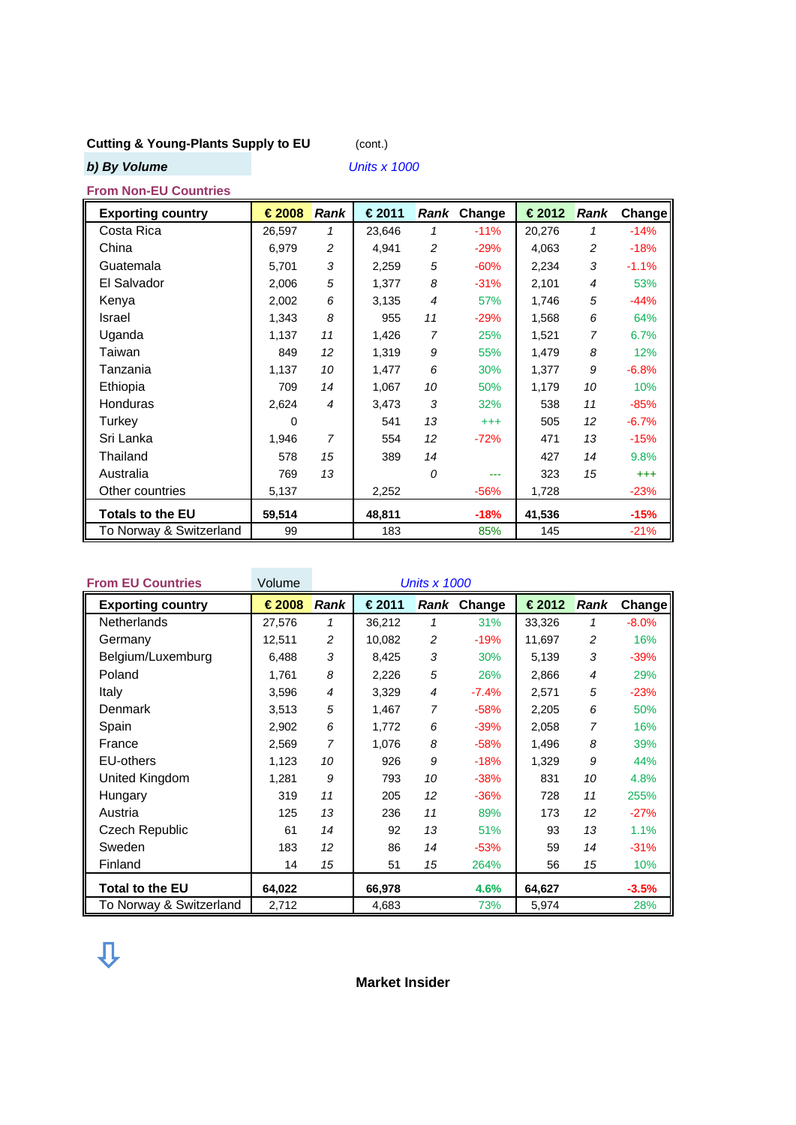# **Cutting & Young-Plants Supply to EU** (cont.)

*b)* By Volume

| <b>Units x 1000</b> |  |  |  |  |
|---------------------|--|--|--|--|
|                     |  |  |  |  |

# **From Non-EU Countries**

| <b>Exporting country</b> | €2008    | Rank            | €2011  | Rank | Change   | €2012  | <b>Rank</b>    | Changel  |
|--------------------------|----------|-----------------|--------|------|----------|--------|----------------|----------|
| Costa Rica               | 26,597   | 1               | 23,646 | 1    | $-11%$   | 20,276 | 1              | $-14%$   |
| China                    | 6,979    | 2               | 4,941  | 2    | $-29%$   | 4,063  | 2              | $-18%$   |
| Guatemala                | 5,701    | 3               | 2,259  | 5    | $-60%$   | 2,234  | 3              | $-1.1%$  |
| El Salvador              | 2,006    | 5               | 1,377  | 8    | $-31%$   | 2,101  | $\overline{4}$ | 53%      |
| Kenya                    | 2,002    | 6               | 3,135  | 4    | 57%      | 1,746  | 5              | $-44%$   |
| Israel                   | 1,343    | 8               | 955    | 11   | $-29%$   | 1,568  | 6              | 64%      |
| Uganda                   | 1,137    | 11              | 1,426  | 7    | 25%      | 1,521  | 7              | 6.7%     |
| Taiwan                   | 849      | 12 <sup>2</sup> | 1,319  | 9    | 55%      | 1,479  | 8              | 12%      |
| Tanzania                 | 1,137    | 10              | 1,477  | 6    | 30%      | 1,377  | 9              | $-6.8%$  |
| Ethiopia                 | 709      | 14              | 1,067  | 10   | 50%      | 1,179  | 10             | 10%      |
| <b>Honduras</b>          | 2,624    | $\overline{4}$  | 3,473  | 3    | 32%      | 538    | 11             | $-85%$   |
| Turkey                   | $\Omega$ |                 | 541    | 13   | $^{+++}$ | 505    | 12             | $-6.7%$  |
| Sri Lanka                | 1,946    | $\overline{7}$  | 554    | 12   | $-72%$   | 471    | 13             | $-15%$   |
| Thailand                 | 578      | 15              | 389    | 14   |          | 427    | 14             | 9.8%     |
| Australia                | 769      | 13              |        | 0    | ---      | 323    | 15             | $^{+++}$ |
| Other countries          | 5,137    |                 | 2,252  |      | $-56%$   | 1,728  |                | $-23%$   |
| <b>Totals to the EU</b>  | 59,514   |                 | 48,811 |      | $-18%$   | 41,536 |                | $-15%$   |
| To Norway & Switzerland  | 99       |                 | 183    |      | 85%      | 145    |                | $-21%$   |

| <b>From EU Countries</b> | Volume | <b>Units x 1000</b> |        |                |             |        |                |         |
|--------------------------|--------|---------------------|--------|----------------|-------------|--------|----------------|---------|
| <b>Exporting country</b> | €2008  | <b>Rank</b>         | €2011  |                | Rank Change | €2012  | <b>Rank</b>    | Change  |
| <b>Netherlands</b>       | 27,576 | 1                   | 36,212 | 1              | 31%         | 33,326 | 1              | $-8.0%$ |
| Germany                  | 12,511 | 2                   | 10,082 | $\overline{c}$ | $-19%$      | 11,697 | 2              | 16%     |
| Belgium/Luxemburg        | 6,488  | 3                   | 8,425  | 3              | 30%         | 5,139  | 3              | $-39%$  |
| Poland                   | 1,761  | 8                   | 2,226  | 5              | 26%         | 2,866  | 4              | 29%     |
| Italy                    | 3,596  | 4                   | 3,329  | $\overline{4}$ | $-7.4%$     | 2,571  | 5              | $-23%$  |
| Denmark                  | 3,513  | 5                   | 1,467  | $\overline{7}$ | $-58%$      | 2,205  | 6              | 50%     |
| Spain                    | 2,902  | 6                   | 1,772  | 6              | $-39%$      | 2,058  | $\overline{7}$ | 16%     |
| France                   | 2,569  | $\overline{7}$      | 1,076  | 8              | $-58%$      | 1,496  | 8              | 39%     |
| <b>EU-others</b>         | 1,123  | 10                  | 926    | 9              | $-18%$      | 1,329  | 9              | 44%     |
| United Kingdom           | 1,281  | 9                   | 793    | 10             | $-38%$      | 831    | 10             | 4.8%    |
| Hungary                  | 319    | 11                  | 205    | 12             | $-36%$      | 728    | 11             | 255%    |
| Austria                  | 125    | 13                  | 236    | 11             | 89%         | 173    | 12             | $-27%$  |
| Czech Republic           | 61     | 14                  | 92     | 13             | 51%         | 93     | 13             | 1.1%    |
| Sweden                   | 183    | 12 <sup>°</sup>     | 86     | 14             | $-53%$      | 59     | 14             | $-31%$  |
| Finland                  | 14     | 15                  | 51     | 15             | 264%        | 56     | 15             | 10%     |
| <b>Total to the EU</b>   | 64,022 |                     | 66,978 |                | 4.6%        | 64,627 |                | $-3.5%$ |
| To Norway & Switzerland  | 2,712  |                     | 4,683  |                | 73%         | 5,974  |                | 28%     |

**Market Insider**